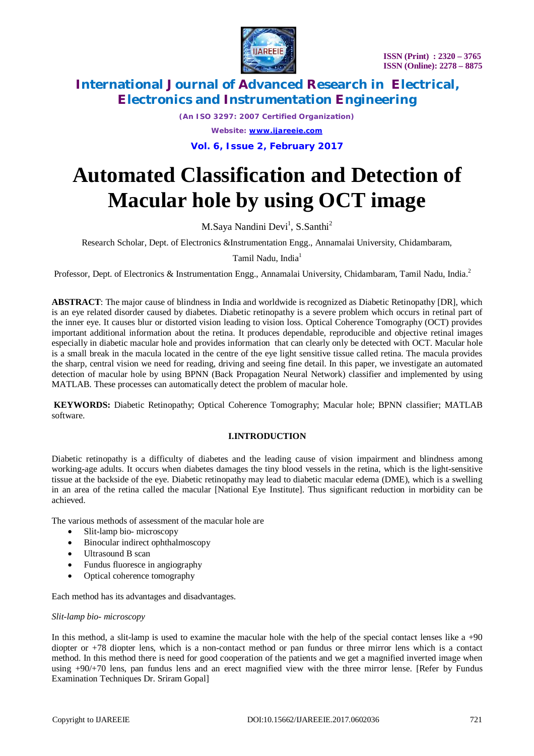

*(An ISO 3297: 2007 Certified Organization) Website: [www.ijareeie.com](http://www.ijareeie.com)*

**Vol. 6, Issue 2, February 2017**

# **Automated Classification and Detection of Macular hole by using OCT image**

M.Saya Nandini Devi<sup>1</sup>, S.Santhi<sup>2</sup>

Research Scholar, Dept. of Electronics &Instrumentation Engg., Annamalai University, Chidambaram,

Tamil Nadu, India<sup>1</sup>

Professor, Dept. of Electronics & Instrumentation Engg., Annamalai University, Chidambaram, Tamil Nadu, India.<sup>2</sup>

**ABSTRACT**: The major cause of blindness in India and worldwide is recognized as Diabetic Retinopathy [DR], which is an eye related disorder caused by diabetes. Diabetic retinopathy is a severe problem which occurs in retinal part of the inner eye. It causes blur or distorted vision leading to vision loss. Optical Coherence Tomography (OCT) provides important additional information about the retina. It produces dependable, reproducible and objective retinal images especially in diabetic macular hole and provides information that can clearly only be detected with OCT. Macular hole is a small break in the macula located in the centre of the eye light sensitive tissue called retina. The macula provides the sharp, central vision we need for reading, driving and seeing fine detail. In this paper, we investigate an automated detection of macular hole by using BPNN (Back Propagation Neural Network) classifier and implemented by using MATLAB. These processes can automatically detect the problem of macular hole.

**KEYWORDS:** Diabetic Retinopathy; Optical Coherence Tomography; Macular hole; BPNN classifier; MATLAB software.

### **I.INTRODUCTION**

Diabetic retinopathy is a difficulty of diabetes and the leading cause of vision impairment and blindness among working-age adults. It occurs when diabetes damages the tiny blood vessels in the retina, which is the light-sensitive tissue at the backside of the eye. Diabetic retinopathy may lead to diabetic macular edema (DME), which is a swelling in an area of the retina called the macular [National Eye Institute]. Thus significant reduction in morbidity can be achieved.

The various methods of assessment of the macular hole are

- Slit-lamp bio- microscopy
- Binocular indirect ophthalmoscopy
- Ultrasound B scan
- Fundus fluoresce in angiography
- Optical coherence tomography

Each method has its advantages and disadvantages.

#### *Slit-lamp bio- microscopy*

In this method, a slit-lamp is used to examine the macular hole with the help of the special contact lenses like a  $+90$ diopter or +78 diopter lens, which is a non-contact method or pan fundus or three mirror lens which is a contact method. In this method there is need for good cooperation of the patients and we get a magnified inverted image when using +90/+70 lens, pan fundus lens and an erect magnified view with the three mirror lense. [Refer by Fundus Examination Techniques Dr. Sriram Gopal]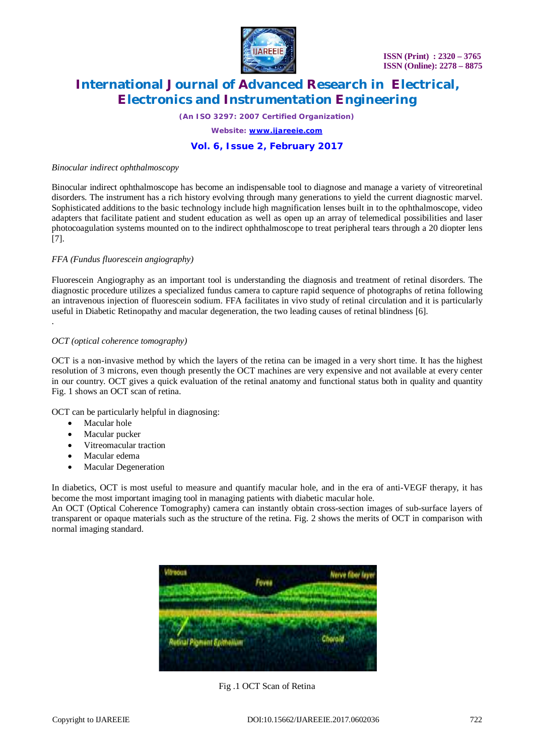

*(An ISO 3297: 2007 Certified Organization)*

*Website: [www.ijareeie.com](http://www.ijareeie.com)*

### **Vol. 6, Issue 2, February 2017**

#### *Binocular indirect ophthalmoscopy*

Binocular indirect ophthalmoscope has become an indispensable tool to diagnose and manage a variety of vitreoretinal disorders. The instrument has a rich history evolving through many generations to yield the current diagnostic marvel. Sophisticated additions to the basic technology include high magnification lenses built in to the ophthalmoscope, video adapters that facilitate patient and student education as well as open up an array of telemedical possibilities and laser photocoagulation systems mounted on to the indirect ophthalmoscope to treat peripheral tears through a 20 diopter lens [7].

#### *FFA (Fundus fluorescein angiography)*

Fluorescein Angiography as an important tool is understanding the diagnosis and treatment of retinal disorders. The diagnostic procedure utilizes a specialized fundus camera to capture rapid sequence of photographs of retina following an intravenous injection of fluorescein sodium. FFA facilitates in vivo study of retinal circulation and it is particularly useful in Diabetic Retinopathy and macular degeneration, the two leading causes of retinal blindness [6].

#### *OCT (optical coherence tomography)*

OCT is a non-invasive method by which the layers of the retina can be imaged in a very short time. It has the highest resolution of 3 microns, even though presently the OCT machines are very expensive and not available at every center in our country. OCT gives a quick evaluation of the retinal anatomy and functional status both in quality and quantity Fig. 1 shows an OCT scan of retina.

OCT can be particularly helpful in diagnosing:

Macular hole

.

- Macular pucker
- Vitreomacular traction
- Macular edema
- Macular Degeneration

In diabetics, OCT is most useful to measure and quantify macular hole, and in the era of anti-VEGF therapy, it has become the most important imaging tool in managing patients with diabetic macular hole.

An OCT (Optical Coherence Tomography) camera can instantly obtain cross-section images of sub-surface layers of transparent or opaque materials such as the structure of the retina. Fig. 2 shows the merits of OCT in comparison with normal imaging standard.



Fig .1 OCT Scan of Retina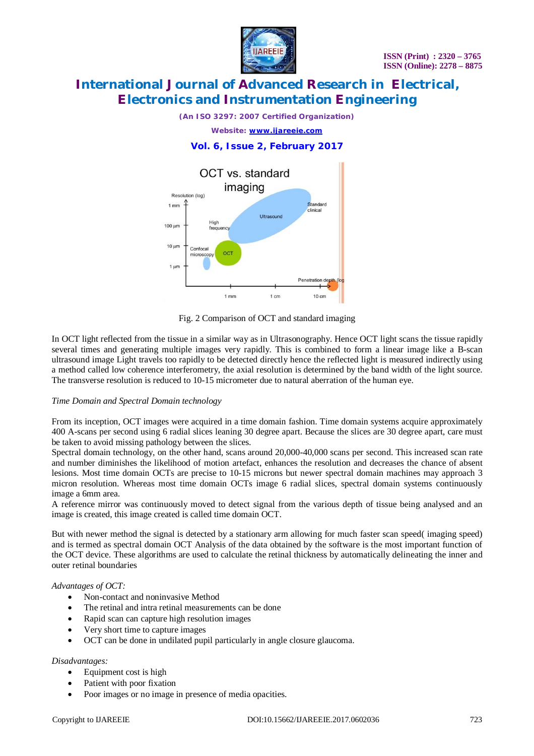

*(An ISO 3297: 2007 Certified Organization)*

*Website: [www.ijareeie.com](http://www.ijareeie.com)*

### **Vol. 6, Issue 2, February 2017**



Fig. 2 Comparison of OCT and standard imaging

In OCT light reflected from the tissue in a similar way as in Ultrasonography. Hence OCT light scans the tissue rapidly several times and generating multiple images very rapidly. This is combined to form a linear image like a B-scan ultrasound image Light travels too rapidly to be detected directly hence the reflected light is measured indirectly using a method called low coherence interferometry, the axial resolution is determined by the band width of the light source. The transverse resolution is reduced to 10-15 micrometer due to natural aberration of the human eye.

#### *Time Domain and Spectral Domain technology*

From its inception, OCT images were acquired in a time domain fashion. Time domain systems acquire approximately 400 A-scans per second using 6 radial slices leaning 30 degree apart. Because the slices are 30 degree apart, care must be taken to avoid missing pathology between the slices.

Spectral domain technology, on the other hand, scans around 20,000-40,000 scans per second. This increased scan rate and number diminishes the likelihood of motion artefact, enhances the resolution and decreases the chance of absent lesions. Most time domain OCTs are precise to 10-15 microns but newer spectral domain machines may approach 3 micron resolution. Whereas most time domain OCTs image 6 radial slices, spectral domain systems continuously image a 6mm area.

A reference mirror was continuously moved to detect signal from the various depth of tissue being analysed and an image is created, this image created is called time domain OCT.

But with newer method the signal is detected by a stationary arm allowing for much faster scan speed( imaging speed) and is termed as spectral domain OCT Analysis of the data obtained by the software is the most important function of the OCT device. These algorithms are used to calculate the retinal thickness by automatically delineating the inner and outer retinal boundaries

#### *Advantages of OCT:*

- Non-contact and noninvasive Method
- The retinal and intra retinal measurements can be done
- Rapid scan can capture high resolution images
- Very short time to capture images
- OCT can be done in undilated pupil particularly in angle closure glaucoma.

#### *Disadvantages:*

- Equipment cost is high
- Patient with poor fixation
- Poor images or no image in presence of media opacities.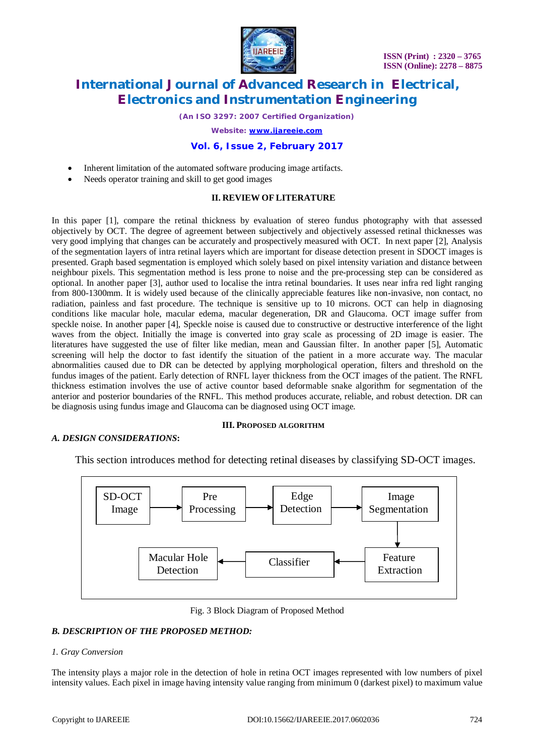

*(An ISO 3297: 2007 Certified Organization)*

*Website: [www.ijareeie.com](http://www.ijareeie.com)*

#### **Vol. 6, Issue 2, February 2017**

- Inherent limitation of the automated software producing image artifacts.
- Needs operator training and skill to get good images

#### **II. REVIEW OF LITERATURE**

In this paper [1], compare the retinal thickness by evaluation of stereo fundus photography with that assessed objectively by OCT. The degree of agreement between subjectively and objectively assessed retinal thicknesses was very good implying that changes can be accurately and prospectively measured with OCT. In next paper [2], Analysis of the segmentation layers of intra retinal layers which are important for disease detection present in SDOCT images is presented. Graph based segmentation is employed which solely based on pixel intensity variation and distance between neighbour pixels. This segmentation method is less prone to noise and the pre-processing step can be considered as optional. In another paper [3], author used to localise the intra retinal boundaries. It uses near infra red light ranging from 800-1300mm. It is widely used because of the clinically appreciable features like non-invasive, non contact, no radiation, painless and fast procedure. The technique is sensitive up to 10 microns. OCT can help in diagnosing conditions like macular hole, macular edema, macular degeneration, DR and Glaucoma. OCT image suffer from speckle noise. In another paper [4], Speckle noise is caused due to constructive or destructive interference of the light waves from the object. Initially the image is converted into gray scale as processing of 2D image is easier. The literatures have suggested the use of filter like median, mean and Gaussian filter. In another paper [5], Automatic screening will help the doctor to fast identify the situation of the patient in a more accurate way. The macular abnormalities caused due to DR can be detected by applying morphological operation, filters and threshold on the fundus images of the patient. Early detection of RNFL layer thickness from the OCT images of the patient. The RNFL thickness estimation involves the use of active countor based deformable snake algorithm for segmentation of the anterior and posterior boundaries of the RNFL. This method produces accurate, reliable, and robust detection. DR can be diagnosis using fundus image and Glaucoma can be diagnosed using OCT image.

#### **III. PROPOSED ALGORITHM**

#### *A. DESIGN CONSIDERATIONS***:**

This section introduces method for detecting retinal diseases by classifying SD-OCT images.



Fig. 3 Block Diagram of Proposed Method

#### *B. DESCRIPTION OF THE PROPOSED METHOD:*

#### *1. Gray Conversion*

The intensity plays a major role in the detection of hole in retina OCT images represented with low numbers of pixel intensity values. Each pixel in image having intensity value ranging from minimum 0 (darkest pixel) to maximum value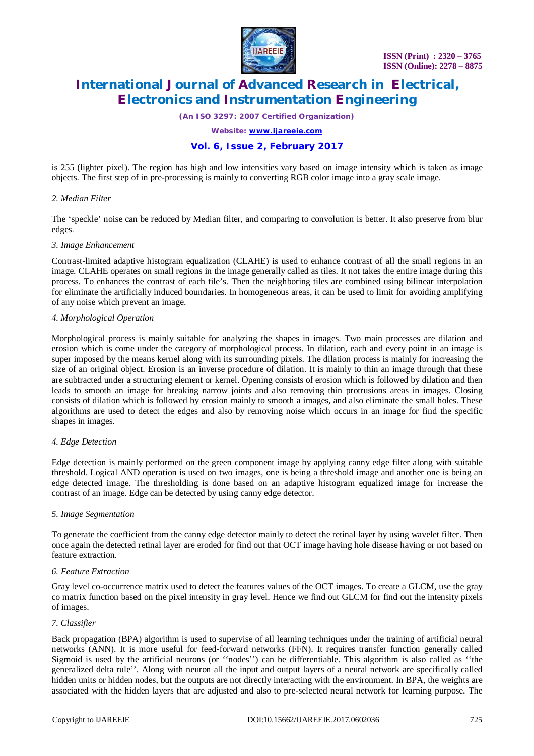

*(An ISO 3297: 2007 Certified Organization)*

*Website: [www.ijareeie.com](http://www.ijareeie.com)*

### **Vol. 6, Issue 2, February 2017**

is 255 (lighter pixel). The region has high and low intensities vary based on image intensity which is taken as image objects. The first step of in pre-processing is mainly to converting RGB color image into a gray scale image.

#### *2. Median Filter*

The 'speckle' noise can be reduced by Median filter, and comparing to convolution is better. It also preserve from blur edges.

#### *3. Image Enhancement*

Contrast-limited adaptive histogram equalization (CLAHE) is used to enhance contrast of all the small regions in an image. CLAHE operates on small regions in the image generally called as tiles. It not takes the entire image during this process. To enhances the contrast of each tile's. Then the neighboring tiles are combined using bilinear interpolation for eliminate the artificially induced boundaries. In homogeneous areas, it can be used to limit for avoiding amplifying of any noise which prevent an image.

#### *4. Morphological Operation*

Morphological process is mainly suitable for analyzing the shapes in images. Two main processes are dilation and erosion which is come under the category of morphological process. In dilation, each and every point in an image is super imposed by the means kernel along with its surrounding pixels. The dilation process is mainly for increasing the size of an original object. Erosion is an inverse procedure of dilation. It is mainly to thin an image through that these are subtracted under a structuring element or kernel. Opening consists of erosion which is followed by dilation and then leads to smooth an image for breaking narrow joints and also removing thin protrusions areas in images. Closing consists of dilation which is followed by erosion mainly to smooth a images, and also eliminate the small holes. These algorithms are used to detect the edges and also by removing noise which occurs in an image for find the specific shapes in images.

#### *4. Edge Detection*

Edge detection is mainly performed on the green component image by applying canny edge filter along with suitable threshold. Logical AND operation is used on two images, one is being a threshold image and another one is being an edge detected image. The thresholding is done based on an adaptive histogram equalized image for increase the contrast of an image. Edge can be detected by using canny edge detector.

#### *5. Image Segmentation*

To generate the coefficient from the canny edge detector mainly to detect the retinal layer by using wavelet filter. Then once again the detected retinal layer are eroded for find out that OCT image having hole disease having or not based on feature extraction.

#### *6. Feature Extraction*

Gray level co-occurrence matrix used to detect the features values of the OCT images. To create a GLCM, use the gray co matrix function based on the pixel intensity in gray level. Hence we find out GLCM for find out the intensity pixels of images.

#### *7. Classifier*

Back propagation (BPA) algorithm is used to supervise of all learning techniques under the training of artificial neural networks (ANN). It is more useful for feed-forward networks (FFN). It requires transfer function generally called Sigmoid is used by the artificial neurons (or ''nodes'') can be differentiable. This algorithm is also called as ''the generalized delta rule''. Along with neuron all the input and output layers of a neural network are specifically called hidden units or hidden nodes, but the outputs are not directly interacting with the environment. In BPA, the weights are associated with the hidden layers that are adjusted and also to pre-selected neural network for learning purpose. The